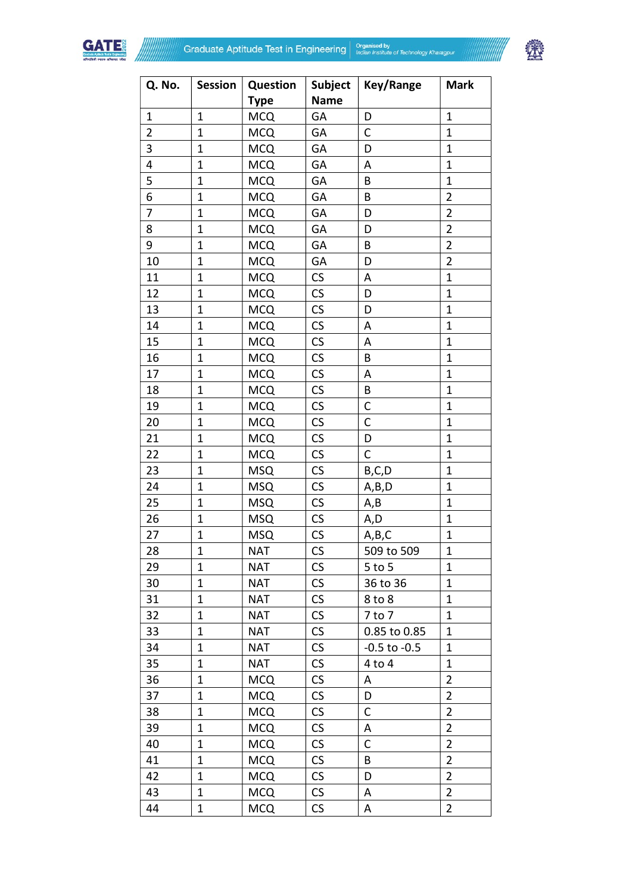



| Q. No.         | <b>Session</b> | <b>Question</b> | Subject                  | Key/Range        | <b>Mark</b>    |
|----------------|----------------|-----------------|--------------------------|------------------|----------------|
|                |                | <b>Type</b>     | <b>Name</b>              |                  |                |
| $\mathbf{1}$   | $\mathbf{1}$   | <b>MCQ</b>      | GA                       | D                | $\mathbf{1}$   |
| $\overline{2}$ | $\overline{1}$ | <b>MCQ</b>      | GA                       | C                | $\mathbf{1}$   |
| 3              | $\overline{1}$ | <b>MCQ</b>      | GA                       | D                | $\mathbf{1}$   |
| 4              | $\overline{1}$ | <b>MCQ</b>      | GA                       | Α                | $\mathbf{1}$   |
| 5              | $\overline{1}$ | <b>MCQ</b>      | GA                       | B                | $\mathbf{1}$   |
| 6              | $\overline{1}$ | <b>MCQ</b>      | GA                       | B                | $\overline{2}$ |
| $\overline{7}$ | $\overline{1}$ | <b>MCQ</b>      | GA                       | D                | $\overline{2}$ |
| 8              | $\overline{1}$ | <b>MCQ</b>      | GA                       | D                | $\overline{2}$ |
| 9              | $\mathbf 1$    | <b>MCQ</b>      | GA                       | B                | $\overline{2}$ |
| 10             | $\mathbf{1}$   | <b>MCQ</b>      | GA                       | D                | $\overline{2}$ |
| 11             | $\mathbf{1}$   | <b>MCQ</b>      | CS                       | A                | $\overline{1}$ |
| 12             | $\mathbf{1}$   | <b>MCQ</b>      | CS                       | D                | $\mathbf{1}$   |
| 13             | $\overline{1}$ | <b>MCQ</b>      | CS                       | D                | $\mathbf{1}$   |
| 14             | $\overline{1}$ | <b>MCQ</b>      | CS                       | A                | $\mathbf 1$    |
| 15             | $\mathbf{1}$   | <b>MCQ</b>      | CS                       | Α                | $\mathbf{1}$   |
| 16             | $\mathbf{1}$   | <b>MCQ</b>      | $\mathsf{CS}\phantom{0}$ | B                | $\mathbf{1}$   |
| 17             | $\mathbf 1$    | <b>MCQ</b>      | CS                       | Α                | $\mathbf{1}$   |
| 18             | $\mathbf{1}$   | <b>MCQ</b>      | CS                       | B                | $\mathbf{1}$   |
| 19             | $\mathbf{1}$   | <b>MCQ</b>      | CS                       | C                | $\mathbf{1}$   |
| 20             | $\overline{1}$ | <b>MCQ</b>      | CS                       | $\mathsf{C}$     | $\overline{1}$ |
| 21             | $\mathbf{1}$   | <b>MCQ</b>      | CS                       | D                | $\mathbf{1}$   |
| 22             | $\overline{1}$ | <b>MCQ</b>      | CS                       | C                | $\mathbf 1$    |
| 23             | $\overline{1}$ | <b>MSQ</b>      | CS                       | B,C,D            | $\mathbf{1}$   |
| 24             | $\overline{1}$ | <b>MSQ</b>      | CS                       | A,B,D            | $\overline{1}$ |
| 25             | $\overline{1}$ | <b>MSQ</b>      | CS                       | A, B             | $\mathbf{1}$   |
| 26             | $\overline{1}$ | <b>MSQ</b>      | CS                       | A,D              | $\overline{1}$ |
| 27             | $\overline{1}$ | <b>MSQ</b>      | $\mathsf{CS}\phantom{0}$ | A,B,C            | $\mathbf{1}$   |
| 28             | 1              | <b>NAT</b>      | $\mathsf{CS}\phantom{0}$ | 509 to 509       | 1              |
| 29             | $\mathbf{1}$   | <b>NAT</b>      | CS                       | $5$ to $5$       | $\mathbf{1}$   |
| 30             | $\mathbf 1$    | NAT             | CS                       | 36 to 36         | $\mathbf 1$    |
| 31             | $\mathbf 1$    | <b>NAT</b>      | CS                       | 8 to 8           | $\mathbf{1}$   |
| 32             | 1              | <b>NAT</b>      | CS                       | $7$ to $7$       | $\mathbf{1}$   |
| 33             | $\mathbf 1$    | <b>NAT</b>      | CS                       | 0.85 to 0.85     | $\mathbf 1$    |
| 34             | 1              | <b>NAT</b>      | CS                       | $-0.5$ to $-0.5$ | $\mathbf 1$    |
| 35             | $\mathbf 1$    | NAT             | CS                       | 4 to 4           | $\mathbf 1$    |
| 36             | $\mathbf 1$    | <b>MCQ</b>      | CS                       | A                | 2              |
| 37             | $\mathbf{1}$   | <b>MCQ</b>      | CS                       | D                | $\overline{2}$ |
| 38             | 1              | <b>MCQ</b>      | CS                       | C                | $\overline{2}$ |
| 39             | $\mathbf{1}$   | <b>MCQ</b>      | CS                       | Α                | $\overline{2}$ |
| 40             | $\mathbf 1$    | <b>MCQ</b>      | CS                       | С                | $\overline{2}$ |
| 41             | $\mathbf 1$    | <b>MCQ</b>      | CS                       | B                | $\overline{2}$ |
| 42             | $\mathbf 1$    | <b>MCQ</b>      | <b>CS</b>                | D                | $\overline{2}$ |
| 43             | $\mathbf 1$    | <b>MCQ</b>      | CS                       | Α                | $\overline{2}$ |
| 44             | $\mathbf 1$    | <b>MCQ</b>      | CS                       | Α                | $\overline{2}$ |
|                |                |                 |                          |                  |                |